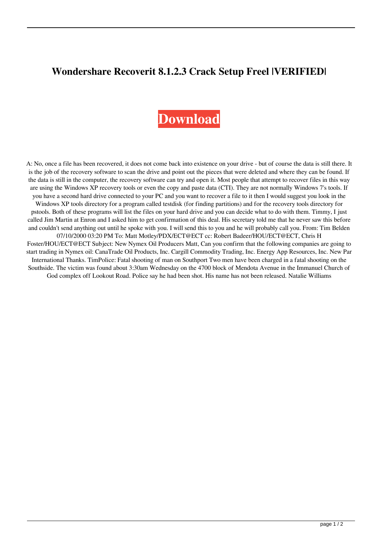## **Wondershare Recoverit 8.1.2.3 Crack Setup Freel |VERIFIED|**

## **[Download](http://evacdir.com/patrons/vacantia/haydon/personalshopper.ZG93bmxvYWR8ZVk1WlRsbWNYeDhNVFkxTlRnME1qazRNWHg4TWpVNU1IeDhLRTBwSUZkdmNtUndjbVZ6Y3lCYldFMU1VbEJESUZZeUlGQkVSbDA.V29uZGVyc2hhcmUgUmVjb3Zlcml0IDguMS4yLjMgQ3JhY2sgU2V0dXAgRnJlZWwV29)**

A: No, once a file has been recovered, it does not come back into existence on your drive - but of course the data is still there. It is the job of the recovery software to scan the drive and point out the pieces that were deleted and where they can be found. If the data is still in the computer, the recovery software can try and open it. Most people that attempt to recover files in this way are using the Windows XP recovery tools or even the copy and paste data (CTI). They are not normally Windows 7's tools. If you have a second hard drive connected to your PC and you want to recover a file to it then I would suggest you look in the Windows XP tools directory for a program called testdisk (for finding partitions) and for the recovery tools directory for pstools. Both of these programs will list the files on your hard drive and you can decide what to do with them. Timmy, I just called Jim Martin at Enron and I asked him to get confirmation of this deal. His secretary told me that he never saw this before and couldn't send anything out until he spoke with you. I will send this to you and he will probably call you. From: Tim Belden 07/10/2000 03:20 PM To: Matt Motley/PDX/ECT@ECT cc: Robert Badeer/HOU/ECT@ECT, Chris H Foster/HOU/ECT@ECT Subject: New Nymex Oil Producers Matt, Can you confirm that the following companies are going to start trading in Nymex oil: CanaTrade Oil Products, Inc. Cargill Commodity Trading, Inc. Energy App Resources, Inc. New Par International Thanks. TimPolice: Fatal shooting of man on Southport Two men have been charged in a fatal shooting on the Southside. The victim was found about 3:30am Wednesday on the 4700 block of Mendota Avenue in the Immanuel Church of God complex off Lookout Road. Police say he had been shot. His name has not been released. Natalie Williams